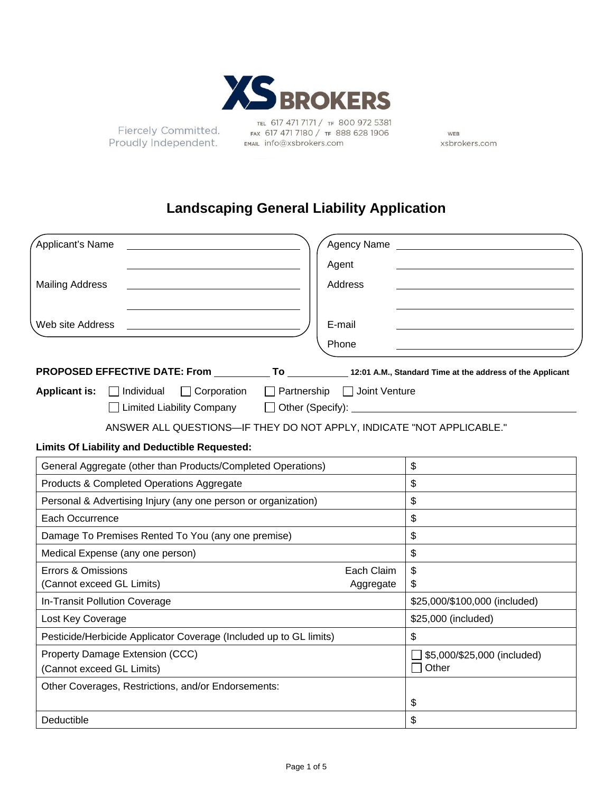

Fiercely Committed. Proudly Independent.

TEL 617 471 7171 / TF 800 972 5381 FAX 617 471 7180 / TF 888 628 1906 EMAIL info@xsbrokers.com

WEB xsbrokers.com

# **Landscaping General Liability Application**

| Applicant's Name<br><b>Agency Name</b>                                                                                        |                                                             |
|-------------------------------------------------------------------------------------------------------------------------------|-------------------------------------------------------------|
| Agent                                                                                                                         |                                                             |
| Address<br><b>Mailing Address</b>                                                                                             |                                                             |
| Web site Address<br>E-mail<br>Phone                                                                                           |                                                             |
| PROPOSED EFFECTIVE DATE: From To 12:01 A.M., Standard Time at the address of the Applicant                                    |                                                             |
| $\Box$ Corporation<br>$\Box$ Partnership $\Box$ Joint Venture<br>Applicant is: Individual<br>$\Box$ Limited Liability Company |                                                             |
| ANSWER ALL QUESTIONS-IF THEY DO NOT APPLY, INDICATE "NOT APPLICABLE."                                                         |                                                             |
| <b>Limits Of Liability and Deductible Requested:</b>                                                                          |                                                             |
| General Aggregate (other than Products/Completed Operations)                                                                  | $\boldsymbol{\mathsf{S}}$                                   |
| Products & Completed Operations Aggregate                                                                                     | $\boldsymbol{\mathsf{S}}$                                   |
| Personal & Advertising Injury (any one person or organization)                                                                | $\mathfrak{S}$                                              |
| Each Occurrence                                                                                                               | $\frac{1}{2}$                                               |
| Damage To Premises Rented To You (any one premise)                                                                            | \$                                                          |
| Medical Expense (any one person)                                                                                              | $\mathsf{\$}$                                               |
| Errors & Omissions<br>Each Claim<br>(Cannot exceed GL Limits)<br>Aggregate                                                    | $\boldsymbol{\mathsf{\$}}$<br>\$                            |
| In-Transit Pollution Coverage                                                                                                 | \$25,000/\$100,000 (included)                               |
| Lost Key Coverage                                                                                                             | \$25,000 (included)                                         |
| Pesticide/Herbicide Applicator Coverage (Included up to GL limits)                                                            | \$                                                          |
| Property Damage Extension (CCC)<br>(Cannot exceed GL Limits)                                                                  | $\Box$ \$5,000/\$25,000 (included)<br>Other<br>$\mathbf{I}$ |
| Other Coverages, Restrictions, and/or Endorsements:                                                                           | \$                                                          |
| Deductible                                                                                                                    | \$                                                          |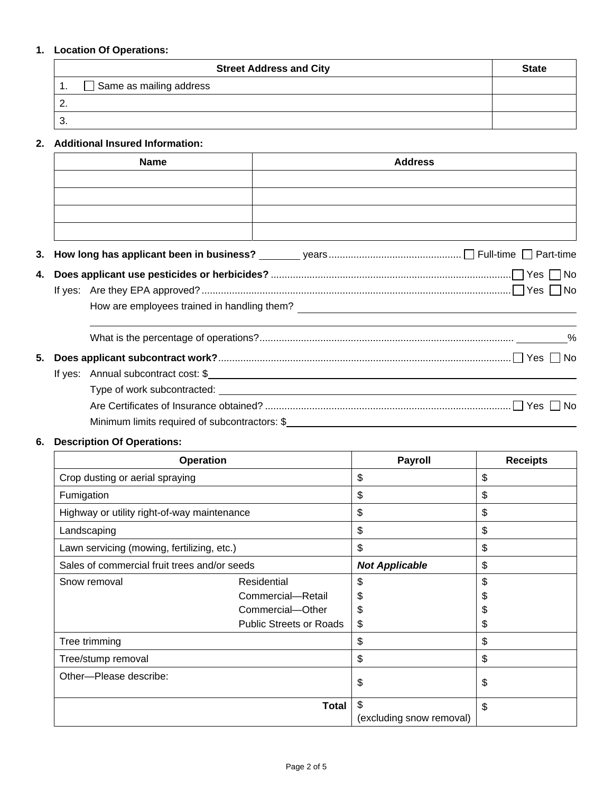## **1. Location Of Operations:**

| <b>Street Address and City</b> | <b>State</b> |
|--------------------------------|--------------|
| Same as mailing address<br>. . |              |
|                                |              |
| U.                             |              |

## **2. Additional Insured Information:**

| <b>Name</b> | <b>Address</b> |
|-------------|----------------|
|             |                |
|             |                |
|             |                |
|             |                |
|             |                |
|             |                |
|             |                |

How are employees trained in handling them?

|  | Minimum limits required of subcontractors: \$ |
|--|-----------------------------------------------|

# **6. Description Of Operations:**

| <b>Operation</b>                                   |                   | <b>Payroll</b>           | <b>Receipts</b> |
|----------------------------------------------------|-------------------|--------------------------|-----------------|
| Crop dusting or aerial spraying                    |                   | \$                       | \$              |
| Fumigation                                         |                   | $\mathfrak{S}$           | \$              |
| Highway or utility right-of-way maintenance        |                   | \$                       | \$              |
| Landscaping                                        |                   | \$                       | \$              |
| Lawn servicing (mowing, fertilizing, etc.)         |                   | \$                       | \$              |
| Sales of commercial fruit trees and/or seeds       |                   | <b>Not Applicable</b>    | \$              |
| Snow removal                                       | Residential       | \$                       | \$              |
|                                                    | Commercial-Retail | \$                       | \$              |
| Commercial-Other<br><b>Public Streets or Roads</b> |                   | \$                       | \$              |
|                                                    |                   | \$                       | \$              |
| Tree trimming                                      |                   | \$                       | \$              |
| Tree/stump removal                                 |                   | \$                       | \$              |
| Other---Please describe:                           |                   | \$                       | \$              |
|                                                    | <b>Total</b>      | \$                       | \$              |
|                                                    |                   | (excluding snow removal) |                 |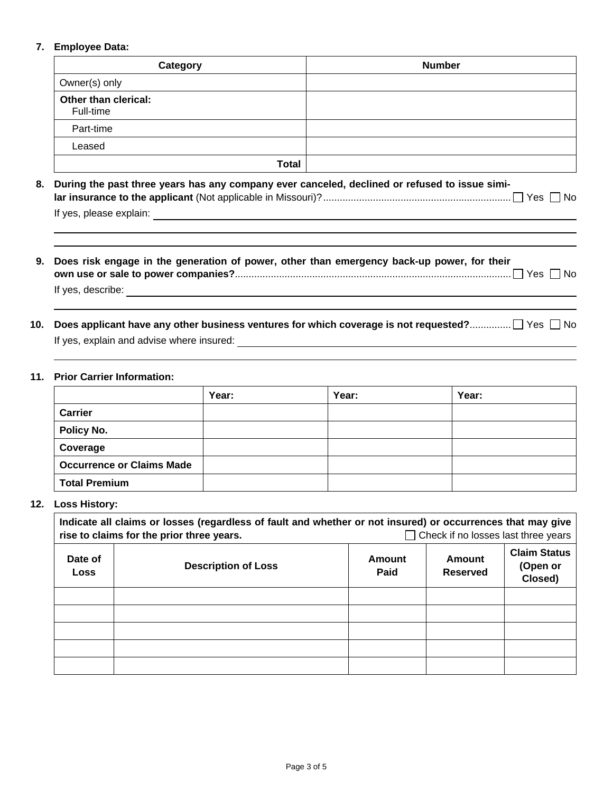### **7. Employee Data:**

| Category                          | <b>Number</b> |
|-----------------------------------|---------------|
| Owner(s) only                     |               |
| Other than clerical:<br>Full-time |               |
| Part-time                         |               |
| Leased                            |               |
| <b>Total</b>                      |               |

| 8. During the past three years has any company ever canceled, declined or refused to issue simi- |  |  |
|--------------------------------------------------------------------------------------------------|--|--|
|                                                                                                  |  |  |
| If yes, please explain:                                                                          |  |  |

- **9. Does risk engage in the generation of power, other than emergency back-up power, for their own use or sale to power companies?**.................................................................................................... Yes No If yes, describe:
- 10. Does applicant have any other business ventures for which coverage is not requested?................... Yes  $\Box$  No If yes, explain and advise where insured:

#### **11. Prior Carrier Information:**

|                                  | Year: | Year: | Year: |
|----------------------------------|-------|-------|-------|
| Carrier                          |       |       |       |
| Policy No.                       |       |       |       |
| Coverage                         |       |       |       |
| <b>Occurrence or Claims Made</b> |       |       |       |
| <b>Total Premium</b>             |       |       |       |

#### **12. Loss History:**

| Indicate all claims or losses (regardless of fault and whether or not insured) or occurrences that may give<br>Check if no losses last three years<br>rise to claims for the prior three years. |  |                |                           |                                            |
|-------------------------------------------------------------------------------------------------------------------------------------------------------------------------------------------------|--|----------------|---------------------------|--------------------------------------------|
| Date of<br><b>Description of Loss</b><br>Loss                                                                                                                                                   |  | Amount<br>Paid | Amount<br><b>Reserved</b> | <b>Claim Status</b><br>(Open or<br>Closed) |
|                                                                                                                                                                                                 |  |                |                           |                                            |
|                                                                                                                                                                                                 |  |                |                           |                                            |
|                                                                                                                                                                                                 |  |                |                           |                                            |
|                                                                                                                                                                                                 |  |                |                           |                                            |
|                                                                                                                                                                                                 |  |                |                           |                                            |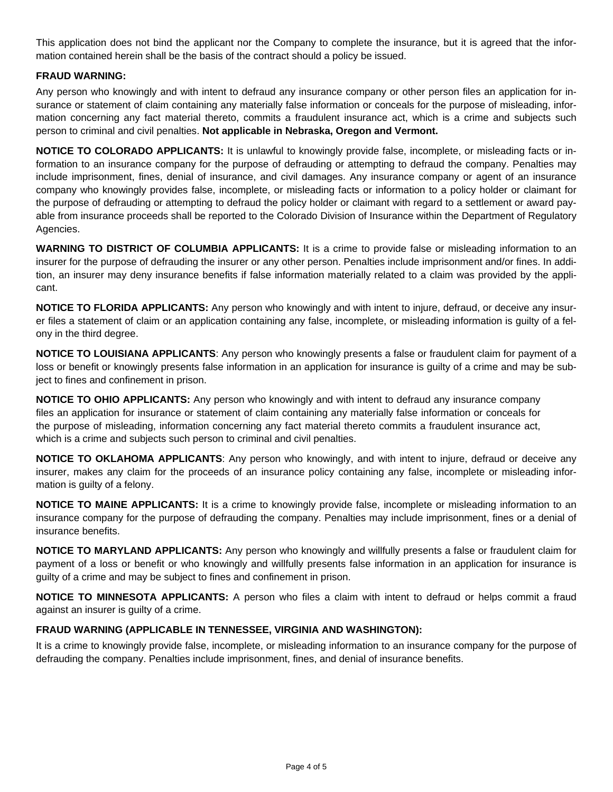This application does not bind the applicant nor the Company to complete the insurance, but it is agreed that the information contained herein shall be the basis of the contract should a policy be issued.

#### **FRAUD WARNING:**

Any person who knowingly and with intent to defraud any insurance company or other person files an application for insurance or statement of claim containing any materially false information or conceals for the purpose of misleading, information concerning any fact material thereto, commits a fraudulent insurance act, which is a crime and subjects such person to criminal and civil penalties. **Not applicable in Nebraska, Oregon and Vermont.** 

**NOTICE TO COLORADO APPLICANTS:** It is unlawful to knowingly provide false, incomplete, or misleading facts or information to an insurance company for the purpose of defrauding or attempting to defraud the company. Penalties may include imprisonment, fines, denial of insurance, and civil damages. Any insurance company or agent of an insurance company who knowingly provides false, incomplete, or misleading facts or information to a policy holder or claimant for the purpose of defrauding or attempting to defraud the policy holder or claimant with regard to a settlement or award payable from insurance proceeds shall be reported to the Colorado Division of Insurance within the Department of Regulatory Agencies.

**WARNING TO DISTRICT OF COLUMBIA APPLICANTS:** It is a crime to provide false or misleading information to an insurer for the purpose of defrauding the insurer or any other person. Penalties include imprisonment and/or fines. In addition, an insurer may deny insurance benefits if false information materially related to a claim was provided by the applicant.

**NOTICE TO FLORIDA APPLICANTS:** Any person who knowingly and with intent to injure, defraud, or deceive any insurer files a statement of claim or an application containing any false, incomplete, or misleading information is guilty of a felony in the third degree.

**NOTICE TO LOUISIANA APPLICANTS**: Any person who knowingly presents a false or fraudulent claim for payment of a loss or benefit or knowingly presents false information in an application for insurance is guilty of a crime and may be subject to fines and confinement in prison.

**NOTICE TO OHIO APPLICANTS:** Any person who knowingly and with intent to defraud any insurance company files an application for insurance or statement of claim containing any materially false information or conceals for the purpose of misleading, information concerning any fact material thereto commits a fraudulent insurance act, which is a crime and subjects such person to criminal and civil penalties.

**NOTICE TO OKLAHOMA APPLICANTS**: Any person who knowingly, and with intent to injure, defraud or deceive any insurer, makes any claim for the proceeds of an insurance policy containing any false, incomplete or misleading information is guilty of a felony.

**NOTICE TO MAINE APPLICANTS:** It is a crime to knowingly provide false, incomplete or misleading information to an insurance company for the purpose of defrauding the company. Penalties may include imprisonment, fines or a denial of insurance benefits.

**NOTICE TO MARYLAND APPLICANTS:** Any person who knowingly and willfully presents a false or fraudulent claim for payment of a loss or benefit or who knowingly and willfully presents false information in an application for insurance is guilty of a crime and may be subject to fines and confinement in prison.

**NOTICE TO MINNESOTA APPLICANTS:** A person who files a claim with intent to defraud or helps commit a fraud against an insurer is guilty of a crime.

### **FRAUD WARNING (APPLICABLE IN TENNESSEE, VIRGINIA AND WASHINGTON):**

It is a crime to knowingly provide false, incomplete, or misleading information to an insurance company for the purpose of defrauding the company. Penalties include imprisonment, fines, and denial of insurance benefits.